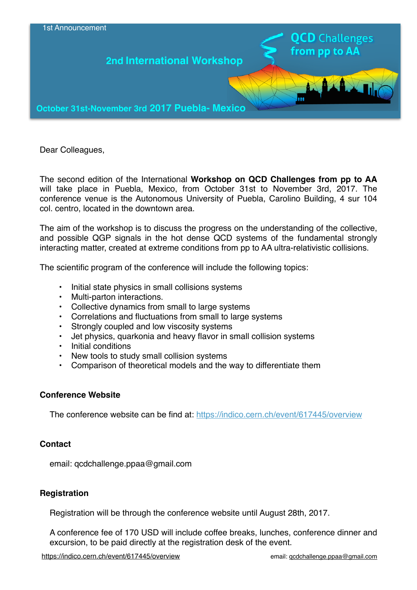

Dear Colleagues,

The second edition of the International **Workshop on QCD Challenges from pp to AA** will take place in Puebla, Mexico, from October 31st to November 3rd, 2017. The conference venue is the Autonomous University of Puebla, Carolino Building, 4 sur 104 col. centro, located in the downtown area.

The aim of the workshop is to discuss the progress on the understanding of the collective, and possible QGP signals in the hot dense QCD systems of the fundamental strongly interacting matter, created at extreme conditions from pp to AA ultra-relativistic collisions.

The scientific program of the conference will include the following topics:

- Initial state physics in small collisions systems
- Multi-parton interactions.
- Collective dynamics from small to large systems
- Correlations and fluctuations from small to large systems
- Strongly coupled and low viscosity systems
- Jet physics, quarkonia and heavy flavor in small collision systems
- Initial conditions
- New tools to study small collision systems
- Comparison of theoretical models and the way to differentiate them

# **Conference Website**

The conference website can be find at: <https://indico.cern.ch/event/617445/overview>

# **Contact**

email: qcdchallenge.ppaa@gmail.com

# **Registration**

Registration will be through the conference website until August 28th, 2017.

A conference fee of 170 USD will include coffee breaks, lunches, conference dinner and excursion, to be paid directly at the registration desk of the event.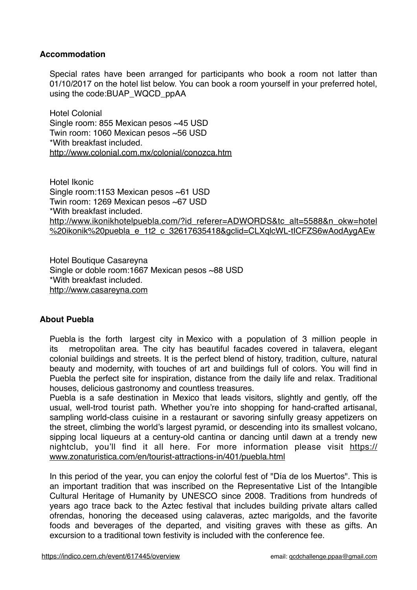# **Accommodation**

Special rates have been arranged for participants who book a room not latter than 01/10/2017 on the hotel list below. You can book a room yourself in your preferred hotel, using the code:BUAP\_WQCD\_ppAA

Hotel Colonial Single room: 855 Mexican pesos ~45 USD Twin room: 1060 Mexican pesos ~56 USD \*With breakfast included. http://www.colonial.com.mx/colonial/conozca.htm

Hotel Ikonic Single room:1153 Mexican pesos ~61 USD Twin room: 1269 Mexican pesos ~67 USD \*With breakfast included. http://www.ikonikhotelpuebla.com/?id\_referer=ADWORDS&tc\_alt=5588&n\_okw=hotel %20ikonik%20puebla\_e\_1t2\_c\_32617635418&gclid=CLXglcWL-tICFZS6wAodAygAEw

Hotel Boutique Casareyna Single or doble room:1667 Mexican pesos ~88 USD \*With breakfast included. <http://www.casareyna.com>

# **About Puebla**

Puebla is the forth largest city in Mexico with a population of 3 million people in its metropolitan area. The city has beautiful facades covered in talavera, elegant colonial buildings and streets. It is the perfect blend of history, tradition, culture, natural beauty and modernity, with touches of art and buildings full of colors. You will find in Puebla the perfect site for inspiration, distance from the daily life and relax. Traditional houses, delicious gastronomy and countless treasures.

Puebla is a safe destination in Mexico that leads visitors, slightly and gently, off the usual, well-trod tourist path. Whether you're into shopping for hand-crafted artisanal, sampling world-class cuisine in a restaurant or savoring sinfully greasy appetizers on the street, climbing the world's largest pyramid, or descending into its smallest volcano, sipping local liqueurs at a century-old cantina or dancing until dawn at a trendy new [nightclub, you'll find it all here. For more information please visit https://](https://www.zonaturistica.com/en/tourist-attractions-in/401/puebla.html) www.zonaturistica.com/en/tourist-attractions-in/401/puebla.html

In this period of the year, you can enjoy the colorful fest of "Día de los Muertos". This is an important tradition that was inscribed on the Representative List of the Intangible Cultural Heritage of Humanity by UNESCO since 2008. Traditions from hundreds of years ago trace back to the Aztec festival that includes building private altars called ofrendas, honoring the deceased using calaveras, aztec marigolds, and the favorite foods and beverages of the departed, and visiting graves with these as gifts. An excursion to a traditional town festivity is included with the conference fee.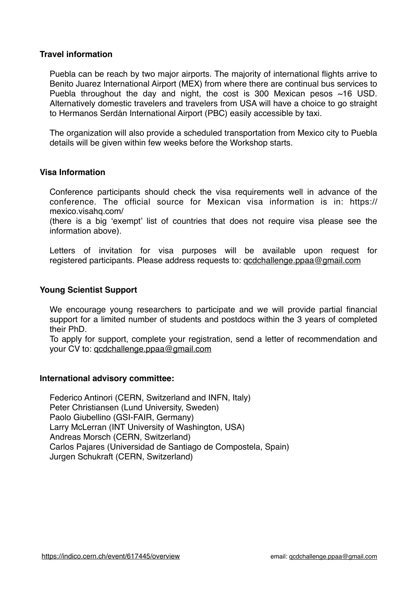### **Travel information**

Puebla can be reach by two major airports. The majority of international flights arrive to Benito Juarez International Airport (MEX) from where there are continual bus services to Puebla throughout the day and night, the cost is 300 Mexican pesos  $~16$  USD. Alternatively domestic travelers and travelers from USA will have a choice to go straight to Hermanos Serdán International Airport (PBC) easily accessible by taxi.

The organization will also provide a scheduled transportation from Mexico city to Puebla details will be given within few weeks before the Workshop starts.

### **Visa Information**

Conference participants should check the visa requirements well in advance of the conference. The official source for Mexican visa information is in: https:// mexico.visahq.com/

(there is a big 'exempt' list of countries that does not require visa please see the information above).

Letters of invitation for visa purposes will be available upon request for registered participants. Please address requests to: gcdchallenge.ppaa@gmail.com

#### **Young Scientist Support**

We encourage young researchers to participate and we will provide partial financial support for a limited number of students and postdocs within the 3 years of completed their PhD.

To apply for support, complete your registration, send a letter of recommendation and your CV to: [qcdchallenge.ppaa@gmail.com](mailto:qcdchallenge.ppaa@gmail.com)

#### **International advisory committee:**

Federico Antinori (CERN, Switzerland and INFN, Italy) Peter Christiansen (Lund University, Sweden) Paolo Giubellino (GSI-FAIR, Germany) Larry McLerran (INT University of Washington, USA) Andreas Morsch (CERN, Switzerland) Carlos Pajares (Universidad de Santiago de Compostela, Spain) Jurgen Schukraft (CERN, Switzerland)